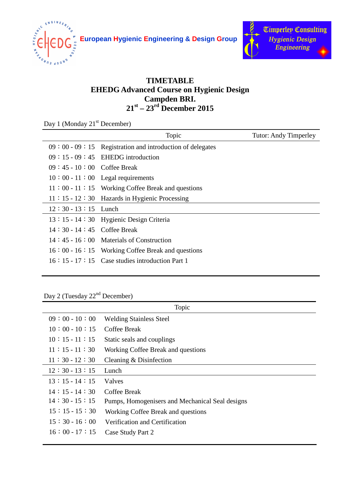

**European Hygienic Engineering & Design Group**



## **TIMETABLE EHEDG Advanced Course on Hygienic Design Campden BRI. st – 23rd December 2015**

Day 1 (Monday 21<sup>st</sup> December)

|                              | Topic                                                    | <b>Tutor: Andy Timperley</b> |
|------------------------------|----------------------------------------------------------|------------------------------|
|                              | $09:00-09:15$ Registration and introduction of delegates |                              |
|                              | $09:15-09:45$ EHEDG introduction                         |                              |
| $09:45 - 10:00$ Coffee Break |                                                          |                              |
|                              | $10:00 - 11:00$ Legal requirements                       |                              |
|                              | $11:00 - 11:15$ Working Coffee Break and questions       |                              |
|                              | $11: 15 - 12: 30$ Hazards in Hygienic Processing         |                              |
| $12:30 - 13:15$ Lunch        |                                                          |                              |
|                              | 13:15 - 14:30 Hygienic Design Criteria                   |                              |
| $14:30 - 14:45$ Coffee Break |                                                          |                              |
|                              | $14:45 - 16:00$ Materials of Construction                |                              |
|                              | $16:00 - 16:15$ Working Coffee Break and questions       |                              |
|                              | $16:15$ - 17 : 15 Case studies introduction Part 1       |                              |
|                              |                                                          |                              |

Day 2 (Tuesday 22<sup>nd</sup> December)

| Topic           |                                                 |  |
|-----------------|-------------------------------------------------|--|
| $09:00 - 10:00$ | <b>Welding Stainless Steel</b>                  |  |
| $10:00 - 10:15$ | <b>Coffee Break</b>                             |  |
| $10:15 - 11:15$ | Static seals and couplings                      |  |
| $11:15 - 11:30$ | Working Coffee Break and questions              |  |
| $11:30-12:30$   | Cleaning & Disinfection                         |  |
| $12:30-13:15$   | Lunch                                           |  |
| $13:15-14:15$   | <b>Valves</b>                                   |  |
| $14:15-14:30$   | <b>Coffee Break</b>                             |  |
| $14:30-15:15$   | Pumps, Homogenisers and Mechanical Seal designs |  |
| $15:15-15:30$   | Working Coffee Break and questions              |  |
| $15:30-16:00$   | Verification and Certification                  |  |
| $16:00 - 17:15$ | Case Study Part 2                               |  |